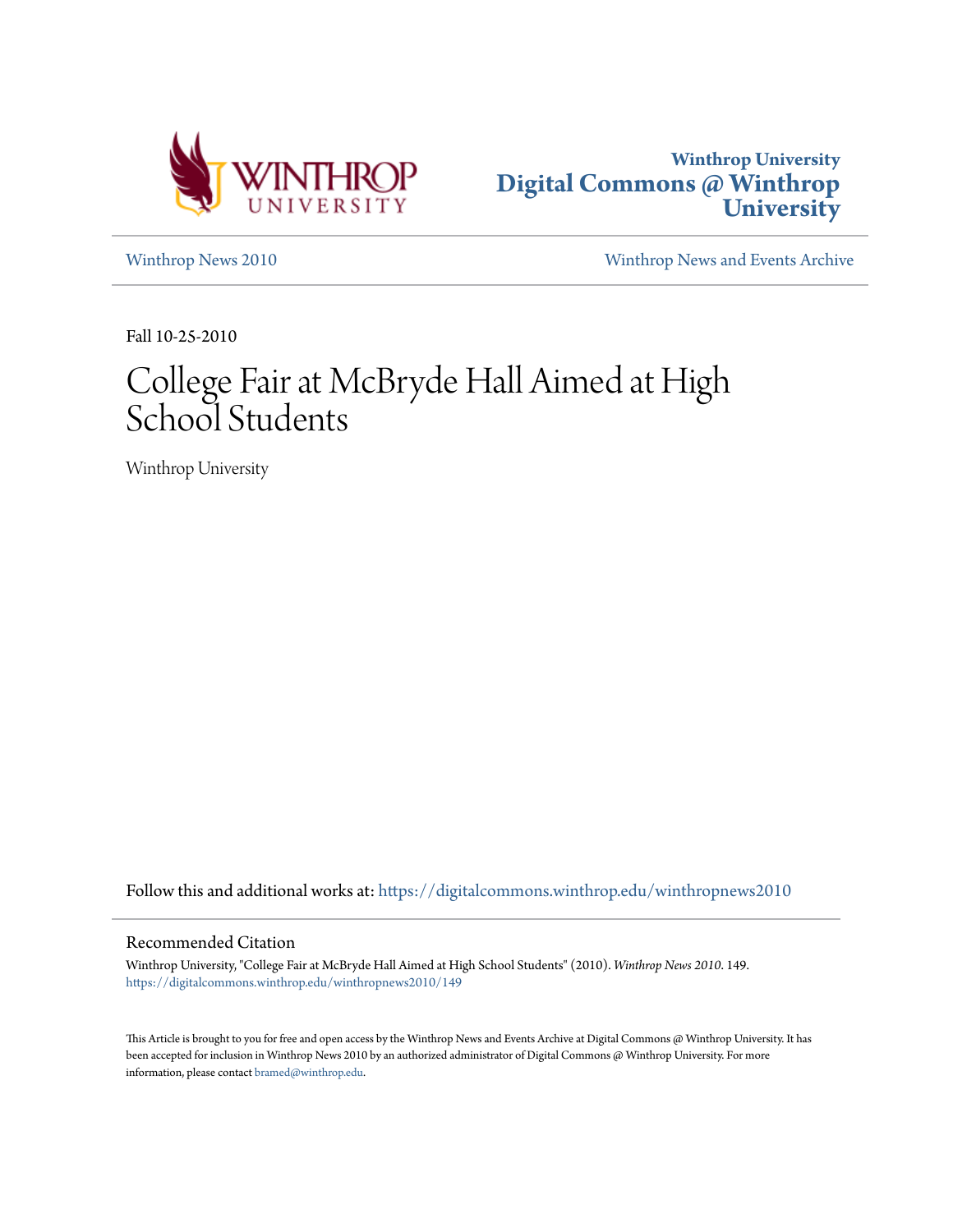



[Winthrop News 2010](https://digitalcommons.winthrop.edu/winthropnews2010?utm_source=digitalcommons.winthrop.edu%2Fwinthropnews2010%2F149&utm_medium=PDF&utm_campaign=PDFCoverPages) [Winthrop News and Events Archive](https://digitalcommons.winthrop.edu/winthropnewsarchives?utm_source=digitalcommons.winthrop.edu%2Fwinthropnews2010%2F149&utm_medium=PDF&utm_campaign=PDFCoverPages)

Fall 10-25-2010

## College Fair at McBryde Hall Aimed at High School Students

Winthrop University

Follow this and additional works at: [https://digitalcommons.winthrop.edu/winthropnews2010](https://digitalcommons.winthrop.edu/winthropnews2010?utm_source=digitalcommons.winthrop.edu%2Fwinthropnews2010%2F149&utm_medium=PDF&utm_campaign=PDFCoverPages)

## Recommended Citation

Winthrop University, "College Fair at McBryde Hall Aimed at High School Students" (2010). *Winthrop News 2010*. 149. [https://digitalcommons.winthrop.edu/winthropnews2010/149](https://digitalcommons.winthrop.edu/winthropnews2010/149?utm_source=digitalcommons.winthrop.edu%2Fwinthropnews2010%2F149&utm_medium=PDF&utm_campaign=PDFCoverPages)

This Article is brought to you for free and open access by the Winthrop News and Events Archive at Digital Commons @ Winthrop University. It has been accepted for inclusion in Winthrop News 2010 by an authorized administrator of Digital Commons @ Winthrop University. For more information, please contact [bramed@winthrop.edu](mailto:bramed@winthrop.edu).